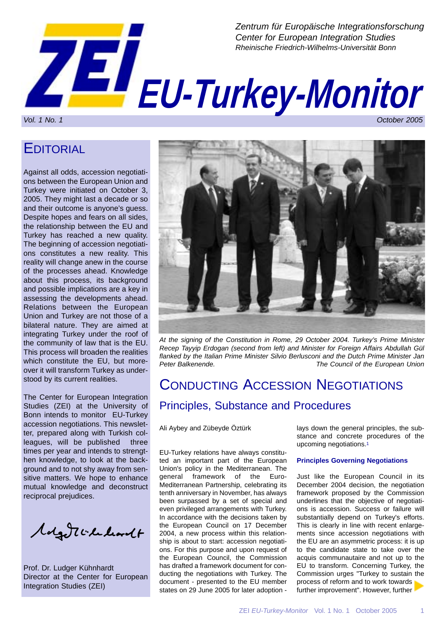

## **EDITORIAL**

Against all odds, accession negotiations between the European Union and Turkey were initiated on October 3, 2005. They might last a decade or so and their outcome is anyone's guess. Despite hopes and fears on all sides, the relationship between the EU and Turkey has reached a new quality. The beginning of accession negotiations constitutes a new reality. This reality will change anew in the course of the processes ahead. Knowledge about this process, its background and possible implications are a key in assessing the developments ahead. Relations between the European Union and Turkey are not those of a bilateral nature. They are aimed at integrating Turkey under the roof of the community of law that is the EU. This process will broaden the realities which constitute the EU, but moreover it will transform Turkey as understood by its current realities.

The Center for European Integration Studies (ZEI) at the University of Bonn intends to monitor EU-Turkey accession negotiations. This newsletter, prepared along with Turkish colleagues, will be published three times per year and intends to strengthen knowledge, to look at the background and to not shy away from sensitive matters. We hope to enhance mutual knowledge and deconstruct reciprocal prejudices.

Molgott checkordt

Prof. Dr. Ludger Kühnhardt Director at the Center for European Integration Studies (ZEI)



*At the signing of the Constitution in Rome, 29 October 2004. Turkey's Prime Minister Recep Tayyip Erdogan (second from left) and Minister for Foreign Affairs Abdullah Gül flanked by the Italian Prime Minister Silvio Berlusconi and the Dutch Prime Minister Jan* **The Council of the European Union** 

## CONDUCTING ACCESSION NEGOTIATIONS Principles, Substance and Procedures

Ali Aybey and Zübeyde Öztürk

EU-Turkey relations have always constituted an important part of the European Union's policy in the Mediterranean. The general framework of the Euro-Mediterranean Partnership, celebrating its tenth anniversary in November, has always been surpassed by a set of special and even privileged arrangements with Turkey. In accordance with the decisions taken by the European Council on 17 December 2004, a new process within this relationship is about to start: accession negotiations. For this purpose and upon request of the European Council, the Commission has drafted a framework document for conducting the negotiations with Turkey. The document - presented to the EU member states on 29 June 2005 for later adoption -

lays down the general principles, the substance and concrete procedures of the upcoming negotiations.1

#### **Principles Governing Negotiations**

Just like the European Council in its December 2004 decision, the negotiation framework proposed by the Commission underlines that the objective of negotiations is accession. Success or failure will substantially depend on Turkey's efforts. This is clearly in line with recent enlargements since accession negotiations with the EU are an asymmetric process: it is up to the candidate state to take over the acquis communautaire and not up to the EU to transform. Concerning Turkey, the Commission urges "Turkey to sustain the process of reform and to work towards further improvement". However, further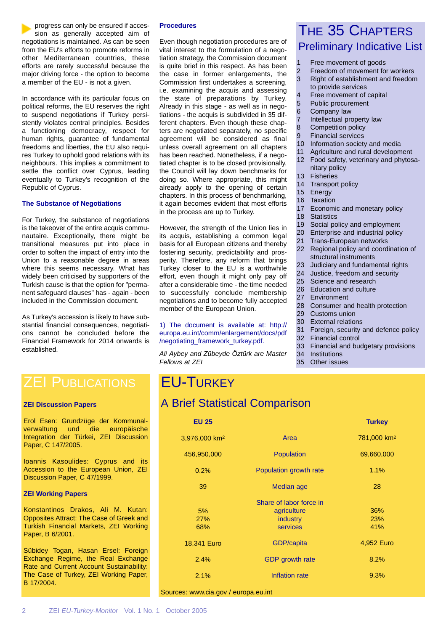progress can only be ensured if accession as generally accepted aim of negotiations is maintained. As can be seen from the EU's efforts to promote reforms in other Mediterranean countries, these efforts are rarely successful because the major driving force - the option to become a member of the EU - is not a given.

In accordance with its particular focus on political reforms, the EU reserves the right to suspend negotiations if Turkey persistently violates central principles. Besides a functioning democracy, respect for human rights, guarantee of fundamental freedoms and liberties, the EU also requires Turkey to uphold good relations with its neighbours. This implies a commitment to settle the conflict over Cyprus, leading eventually to Turkey's recognition of the Republic of Cyprus.

#### **The Substance of Negotiations**

For Turkey, the substance of negotiations is the takeover of the entire acquis communautaire. Exceptionally, there might be transitional measures put into place in order to soften the impact of entry into the Union to a reasonable degree in areas where this seems necessary. What has widely been criticised by supporters of the Turkish cause is that the option for "permanent safeguard clauses" has - again - been included in the Commission document.

As Turkey's accession is likely to have substantial financial consequences, negotiations cannot be concluded before the Financial Framework for 2014 onwards is established.

#### **Procedures**

Even though negotiation procedures are of vital interest to the formulation of a negotiation strategy, the Commission document is quite brief in this respect. As has been the case in former enlargements, the Commission first undertakes a screening, i.e. examining the acquis and assessing the state of preparations by Turkey. Already in this stage - as well as in negotiations - the acquis is subdivided in 35 different chapters. Even though these chapters are negotiated separately, no specific agreement will be considered as final unless overall agreement on all chapters has been reached. Nonetheless, if a negotiated chapter is to be closed provisionally, the Council will lay down benchmarks for doing so. Where appropriate, this might already apply to the opening of certain chapters. In this process of benchmarking, it again becomes evident that most efforts in the process are up to Turkey.

However, the strength of the Union lies in its acquis, establishing a common legal basis for all European citizens and thereby fostering security, predictability and prosperity. Therefore, any reform that brings Turkey closer to the EU is a worthwhile effort, even though it might only pay off after a considerable time - the time needed to successfully conclude membership negotiations and to become fully accepted member of the European Union.

1) The document is available at: http:// europa.eu.int/comm/enlargement/docs/pdf /negotiating\_framework\_turkey.pdf.

*Ali Aybey and Zübeyde Öztürk are Master Fellows at ZEI*

### THE 35 CHAPTERS Preliminary Indicative List

- 1 Free movement of goods
- 2 Freedom of movement for workers
- 3 Right of establishment and freedom to provide services
- 4 Free movement of capital
- 5 Public procurement
- 6 Company law
- 7 Intellectual property law
- 8 Competition policy
- 9 Financial services
- 10 Information society and media
- 11 Agriculture and rural development
- 12 Food safety, veterinary and phytosanitary policy
- 13 Fisheries
- 14 Transport policy
- 15 Energy
- 16 Taxation
- 17 Economic and monetary policy
- 18 Statistics
- 19 Social policy and employment
- 20 Enterprise and industrial policy
- 21 Trans-European networks
- 22 Regional policy and coordination of structural instruments
- 23 Judiciary and fundamental rights
- 24 Justice, freedom and security
- 25 Science and research
- 26 Education and culture
- 27 Environment
- 28 Consumer and health protection
- 29 Customs union
- 30 External relations
- 31 Foreign, security and defence policy
- 32 Financial control
- 33 Financial and budgetary provisions
- 34 Institutions
- 35 Other issues

### **ZEI PUBLICATIONS**

#### **ZEI Discussion Papers**

Erol Esen: Grundzüge der Kommunalverwaltung und die europäische Integration der Türkei, ZEI Discussion Paper, C 147/2005.

Ioannis Kasoulides: Cyprus and its Accession to the European Union, ZEI Discussion Paper, C 47/1999.

#### **ZEI Working Papers**

Konstantinos Drakos, Ali M. Kutan: Opposites Attract: The Case of Greek and Turkish Financial Markets, ZEI Working Paper, B 6/2001.

Sübidey Togan, Hasan Ersel: Foreign Exchange Regime, the Real Exchange Rate and Current Account Sustainability: The Case of Turkey, ZEI Working Paper, B 17/2004.

## EU-TURKEY

### A Brief Statistical Comparison

| <b>EU 25</b>              |                                                                | <b>Turkey</b>           |
|---------------------------|----------------------------------------------------------------|-------------------------|
| 3,976,000 km <sup>2</sup> | Area                                                           | 781,000 km <sup>2</sup> |
| 456,950,000               | Population                                                     | 69,660,000              |
| 0.2%                      | Population growth rate                                         | 1.1%                    |
| 39                        | Median age                                                     | 28                      |
| 5%<br><b>27%</b><br>68%   | Share of labor force in<br>agriculture<br>industry<br>services | 36%<br>23%<br>41%       |
| 18,341 Euro               | GDP/capita                                                     | 4,952 Euro              |
| 2.4%                      | <b>GDP</b> growth rate                                         | 8.2%                    |
| 2.1%                      | Inflation rate                                                 | 9.3%                    |
|                           |                                                                |                         |

Sources: www.cia.gov / europa.eu.int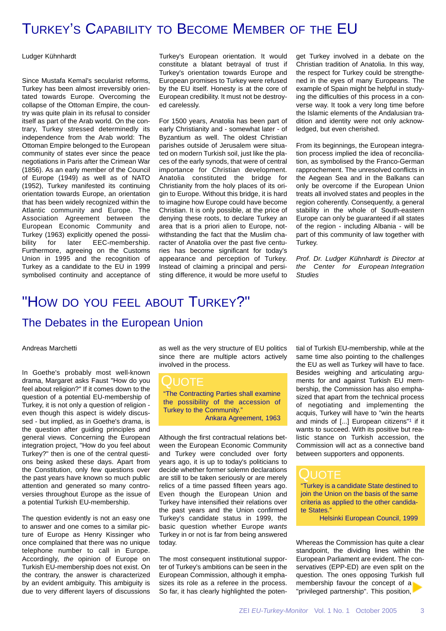## TURKEY'S CAPABILITY TO BECOME MEMBER OF THE EU

Ludger Kühnhardt

Since Mustafa Kemal's secularist reforms, Turkey has been almost irreversibly orientated towards Europe. Overcoming the collapse of the Ottoman Empire, the country was quite plain in its refusal to consider itself as part of the Arab world. On the contrary, Turkey stressed determinedly its independence from the Arab world: The Ottoman Empire belonged to the European community of states ever since the peace negotiations in Paris after the Crimean War (1856). As an early member of the Council of Europe (1949) as well as of NATO (1952), Turkey manifested its continuing orientation towards Europe, an orientation that has been widely recognized within the Atlantic community and Europe. The Association Agreement between the European Economic Community and Turkey (1963) explicitly opened the possibility for later EEC-membership. Furthermore, agreeing on the Customs Union in 1995 and the recognition of Turkey as a candidate to the EU in 1999 symbolised continuity and acceptance of

Turkey's European orientation. It would constitute a blatant betrayal of trust if Turkey's orientation towards Europe and European promises to Turkey were refused by the EU itself. Honesty is at the core of European credibility. It must not be destroyed carelessly.

For 1500 years, Anatolia has been part of early Christianity and - somewhat later - of Byzantium as well. The oldest Christian parishes outside of Jerusalem were situated on modern Turkish soil, just like the places of the early synods, that were of central importance for Christian development. Anatolia constituted the bridge for Christianity from the holy places of its origin to Europe. Without this bridge, it is hard to imagine how Europe could have become Christian. It is only possible, at the price of denying these roots, to declare Turkey an area that is a priori alien to Europe, notwithstanding the fact that the Muslim character of Anatolia over the past five centuries has become significant for today's appearance and perception of Turkey. Instead of claiming a principal and persisting difference, it would be more useful to

get Turkey involved in a debate on the Christian tradition of Anatolia. In this way, the respect for Turkey could be strengthened in the eyes of many Europeans. The example of Spain might be helpful in studying the difficulties of this process in a converse way. It took a very long time before the Islamic elements of the Andalusian tradition and identity were not only acknowledged, but even cherished.

From its beginnings, the European integration process implied the idea of reconciliation, as symbolised by the Franco-German rapprochement. The unresolved conflicts in the Aegean Sea and in the Balkans can only be overcome if the European Union treats all involved states and peoples in the region coherently. Consequently, a general stability in the whole of South-eastern Europe can only be guaranteed if all states of the region - including Albania - will be part of this community of law together with Turkey.

*Prof. Dr. Ludger Kühnhardt is Director at the Center for European Integration Studies*

# "HOW DO YOU FEEL ABOUT TURKEY?"

#### The Debates in the European Union

Andreas Marchetti

In Goethe's probably most well-known drama, Margaret asks Faust "How do you feel about religion?" If it comes down to the question of a potential EU-membership of Turkey, it is not only a question of religion even though this aspect is widely discussed - but implied, as in Goethe's drama, is the question after guiding principles and general views. Concerning the European integration project, "How do you feel about Turkey?" then is one of the central questions being asked these days. Apart from the Constitution, only few questions over the past years have known so much public attention and generated so many controversies throughout Europe as the issue of a potential Turkish EU-membership.

The question evidently is not an easy one to answer and one comes to a similar picture of Europe as Henry Kissinger who once complained that there was no unique telephone number to call in Europe. Accordingly, *the* opinion of Europe on Turkish EU-membership does not exist. On the contrary, the answer is characterized by an evident ambiguity. This ambiguity is due to very different layers of discussions

as well as the very structure of EU politics since there are multiple actors actively involved in the process.

QUOTE "The Contracting Parties shall examine the possibility of the accession of Turkey to the Community." Ankara Agreement, 1963

Although the first contractual relations between the European Economic Community and Turkey were concluded over forty years ago, it is up to today's politicians to decide whether former solemn declarations are still to be taken seriously or are merely relics of a time passed fifteen years ago. Even though the European Union and Turkey have intensified their relations over the past years and the Union confirmed Turkey's candidate status in 1999, the basic question whether Europe *wants* Turkey in or not is far from being answered today.

The most consequent institutional supporter of Turkey's ambitions can be seen in the European Commission, although it emphasizes its role as a referee in the process. So far, it has clearly highlighted the poten-

tial of Turkish EU-membership, while at the same time also pointing to the challenges the EU as well as Turkey will have to face. Besides weighing and articulating arguments for and against Turkish EU membership, the Commission has also emphasized that apart from the technical process of negotiating and implementing the acquis, Turkey will have to "win the hearts and minds of [...] European citizens"<sup>1</sup> if it wants to succeed. With its positive but realistic stance on Turkish accession, the Commission will act as a connective band between supporters and opponents.

### QUOTE

"Turkey is a candidate State destined to join the Union on the basis of the same criteria as applied to the other candidate States."

Helsinki European Council, 1999

Whereas the Commission has quite a clear standpoint, the dividing lines within the European Parliament are evident. The conservatives (EPP-ED) are even split on the question. The ones opposing Turkish full membership favour the concept of a "privileged partnership". This position,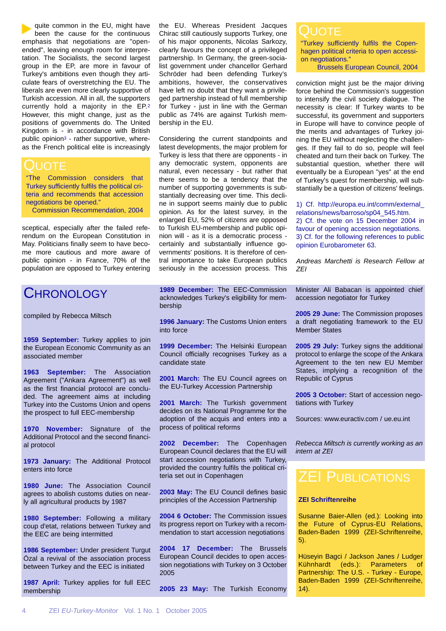quite common in the EU, might have been the cause for the continuous emphasis that negotiations are "openended", leaving enough room for interpretation. The Socialists, the second largest group in the EP, are more in favour of Turkey's ambitions even though they articulate fears of overstretching the EU. The liberals are even more clearly supportive of Turkish accession. All in all, the supporters currently hold a majority in the EP.2 However, this might change, just as the positions of governments do. The United Kingdom is - in accordance with British public opinion3 - rather supportive, whereas the French political elite is increasingly

### QUOTE

"The Commission considers that Turkey sufficiently fulfils the political criteria and recommends that accession negotiations be opened."

Commission Recommendation, 2004

sceptical, especially after the failed referendum on the European Constitution in May. Politicians finally seem to have become more cautious and more aware of public opinion - in France, 70% of the population are opposed to Turkey entering

### CHRONOLOGY

compiled by Rebecca Miltsch

**1959 September:** Turkey applies to join the European Economic Community as an associated member

**1963 September:** The Association Agreement ("Ankara Agreement") as well as the first financial protocol are concluded. The agreement aims at including Turkey into the Customs Union and opens the prospect to full EEC-membership

**1970 November:** Signature of the Additional Protocol and the second financial protocol

**1973 January:** The Additional Protocol enters into force

**1980 June:** The Association Council agrees to abolish customs duties on nearly all agricultural products by 1987

**1980 September:** Following a military coup d'etat, relations between Turkey and the EEC are being intermitted

**1986 September:** Under president Turgut Özal a revival of the association process between Turkey and the EEC is initiated

**1987 April:** Turkey applies for full EEC membership

the EU. Whereas President Jacques Chirac still cautiously supports Turkey, one of his major opponents, Nicolas Sarkozy, clearly favours the concept of a privileged partnership. In Germany, the green-socialist government under chancellor Gerhard Schröder had been defending Turkey's ambitions, however, the conservatives have left no doubt that they want a privileged partnership instead of full membership for Turkey - just in line with the German public as 74% are against Turkish membership in the EU.

Considering the current standpoints and latest developments, the major problem for Turkey is less that there are opponents - in any democratic system, opponents are natural, even necessary - but rather that there seems to be a tendency that the number of supporting governments is substantially decreasing over time. This decline in support seems mainly due to public opinion. As for the latest survey, in the enlarged EU, 52% of citizens are opposed to Turkish EU-membership and public opinion will - as it is a democratic process certainly and substantially influence governments' positions. It is therefore of central importance to take European publics seriously in the accession process. This

**1989 December:** The EEC-Commission acknowledges Turkey's eligibility for membership

**1996 January:** The Customs Union enters into force

**1999 December:** The Helsinki European Council officially recognises Turkey as a candidate state

**2001 March:** The EU Council agrees on the EU-Turkey Accession Partnership

**2001 March:** The Turkish government decides on its National Programme for the adoption of the acquis and enters into a process of political reforms

**2002 December:** The Copenhagen European Council declares that the EU will start accession negotiations with Turkey, provided the country fulfils the political criteria set out in Copenhagen

**2003 May:** The EU Council defines basic principles of the Accession Partnership

**2004 6 October:** The Commission issues its progress report on Turkey with a recommendation to start accession negotiations

**2004 17 December:** The Brussels European Council decides to open accession negotiations with Turkey on 3 October 2005

**2005 23 May:** The Turkish Economy

#### **JUOTE**

"Turkey sufficiently fulfils the Copenhagen political criteria to open accession negotiations."

Brussels European Council, 2004

conviction might just be the major driving force behind the Commission's suggestion to intensify the civil society dialogue. The necessity is clear: If Turkey wants to be successful, its government and supporters in Europe will have to convince people of the merits and advantages of Turkey joining the EU without neglecting the challenges. If they fail to do so, people will feel cheated and turn their back on Turkey. The substantial question, whether there will eventually be a European "yes" at the end of Turkey's quest for membership, will substantially be a question of citizens' feelings.

1) Cf. http://europa.eu.int/comm/external\_ relations/news/barroso/sp04\_545.htm.

2) Cf. the vote on 15 December 2004 in favour of opening accession negotiations. 3) Cf. for the following references to public opinion Eurobarometer 63.

*Andreas Marchetti is Research Fellow at ZEI*

Minister Ali Babacan is appointed chief accession negotiator for Turkey

**2005 29 June:** The Commission proposes a draft negotiating framework to the EU Member States

**2005 29 July:** Turkey signs the additional protocol to enlarge the scope of the Ankara Agreement to the ten new EU Member States, implying a recognition of the Republic of Cyprus

**2005 3 October:** Start of accession negotiations with Turkey

Sources: www.euractiv.com / ue.eu.int

*Rebecca Miltsch is currently working as an intern at ZEI*

## **ZEI PUBLICATIONS**

#### **ZEI Schriftenreihe**

Susanne Baier-Allen (ed.): Looking into the Future of Cyprus-EU Relations, Baden-Baden 1999 (ZEI-Schriftenreihe, 5).

Hüseyin Bagci / Jackson Janes / Ludger Kühnhardt (eds.): Parameters of Partnership: The U.S. - Turkey - Europe, Baden-Baden 1999 (ZEI-Schriftenreihe,  $14$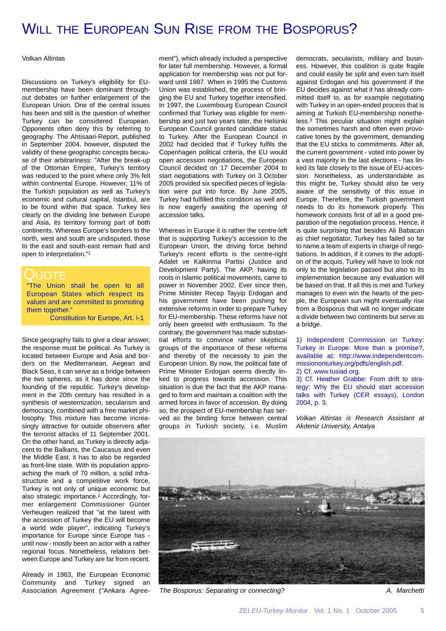## WILL THE EUROPEAN SUN RISE FROM THE BOSPORUS?

#### Volkan Altintas

Discussions on Turkey's eligibility for EUmembership have been dominant throughout debates on further enlargement of the European Union. One of the central issues has been and still is the question of whether Turkey can be considered European. Opponents often deny this by referring to geography. The Ahtisaari-Report, published in September 2004, however, disputed the validity of these geographic concepts because of their arbitrariness: "After the break-up of the Ottoman Empire, Turkey's territory was reduced to the point where only 3% fell within continental Europe. However, 11% of the Turkish population as well as Turkey's economic and cultural capital, Istanbul, are to be found within that space. Turkey lies clearly on the dividing line between Europe and Asia, its territory forming part of both continents. Whereas Europe's borders to the north, west and south are undisputed, those to the east and south-east remain fluid and open to interpretation."1

#### LIOTE

"The Union shall be open to all European States which respect its values and are committed to promoting them together."

Constitution for Europe, Art. I-1

Since geography fails to give a clear answer, the response must be political. As Turkey is located between Europe and Asia and borders on the Mediterranean, Aegean and Black Seas, it can serve as a bridge between the two spheres, as it has done since the founding of the republic. Turkey's development in the 20th century has resulted in a synthesis of westernization, secularism and democracy, combined with a free market philosophy. This mixture has become increasingly attractive for outside observers after the terrorist attacks of 11 September 2001. On the other hand, as Turkey is directly adjacent to the Balkans, the Caucasus and even the Middle East, it has to also be regarded as front-line state. With its population approaching the mark of 70 million, a solid infrastructure and a competitive work force, Turkey is not only of unique economic but also strategic importance.<sup>2</sup> Accordingly, former enlargement Commissioner Günter Verheugen realized that "at the latest with the accession of Turkey the EU will become a world wide player", indicating Turkey's importance for Europe since Europe has until now - mostly been an actor with a rather regional focus. Nonetheless, relations between Europe and Turkey are far from recent.

Already in 1963, the European Economic Community and Turkey signed an Association Agreement ("Ankara Agree-

ment"), which already included a perspective for later full membership. However, a formal application for membership was not put forward until 1987. When in 1995 the Customs Union was established, the process of bringing the EU and Turkey together intensified. In 1997, the Luxembourg European Council confirmed that Turkey was eligible for membership and just two years later, the Helsinki European Council granted candidate status to Turkey. After the European Council in 2002 had decided that if Turkey fulfils the Copenhagen political criteria, the EU would open accession negotiations, the European Council decided on 17 December 2004 to start negotiations with Turkey on 3 October 2005 provided six specified pieces of legislation were put into force. By June 2005, Turkey had fulfilled this condition as well and is now eagerly awaiting the opening of accession talks.

Whereas in Europe it is rather the centre-left that is supporting Turkey's accession to the European Union, the driving force behind Turkey's recent efforts is the centre-right Adalet ve Kalkinma Partisi (Justice and Development Party). The AKP, having its roots in Islamic political movements, came to power in November 2002. Ever since then, Prime Minister Recep Tayyip Erdogan and his government have been pushing for extensive reforms in order to prepare Turkey for EU-membership. These reforms have not only been greeted with enthusiasm. To the contrary, the government has made substantial efforts to convince rather skeptical groups of the importance of these reforms and thereby of the necessity to join the European Union. By now, the political fate of Prime Minister Erdogan seems directly linked to progress towards accession. This situation is due the fact that the AKP managed to form and maintain a coalition with the armed forces in favor of accession. By doing so, the prospect of EU-membership has served as the binding force between central groups in Turkish society, i.e. Muslim

democrats, secularists, military and business. However, this coalition is quite fragile and could easily be split and even turn itself against Erdogan and his government if the EU decides against what it has already committed itself to, as for example negotiating with Turkey in an open-ended process that is aiming at Turkish EU-membership nonetheless.3 This peculiar situation might explain the sometimes harsh and often even provocative tones by the government, demanding that the EU sticks to commitments. After all, the current government - voted into power by a vast majority in the last elections - has linked its fate closely to the issue of EU-accession. Nonetheless, as understandable as this might be, Turkey should also be very aware of the sensitivity of this issue in Europe. Therefore, the Turkish government needs to do its homework properly. This homework consists first of all in a good preparation of the negotiation process. Hence, it is quite surprising that besides Ali Babacan as chief negotiator, Turkey has failed so far to name a team of experts in charge of negotiations. In addition, if it comes to the adoption of the acquis, Turkey will have to look not only to the legislation passed but also to its implementation because any evaluation will be based on that. If all this is met and Turkey manages to even win the hearts of the people, the European sun might eventually rise from a Bosporus that will no longer indicate a divide between two continents but serve as a bridge.

1) Independent Commission on Turkey: Turkey in Europe: More than a promise?, available at: http://www.independentcommissiononturkey.org/pdfs/english.pdf.

2) Cf. www.tusiad.org.

3) Cf. Heather Grabbe: From drift to strategy: Why the EU should start accession talks with Turkey (CER essays), London 2004, p. 3.

*Volkan Altintas is Research Assistant at Akdeniz University, Antalya*



*The Bosporus: Separating or connecting? A. Marchetti*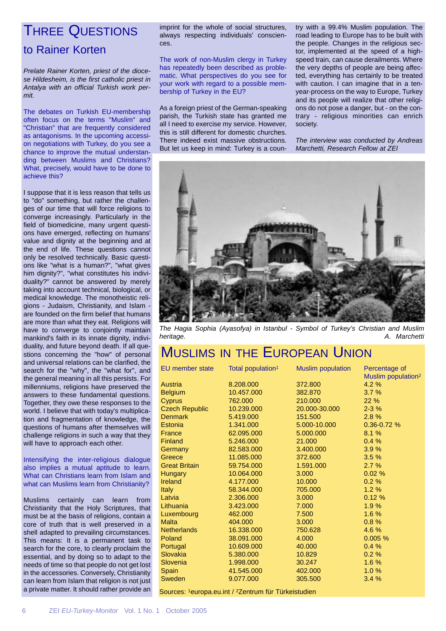## THREE QUESTIONS

#### to Rainer Korten

*Prelate Rainer Korten, priest of the diocese Hildesheim, is the first catholic priest in Antalya with an official Turkish work permit.*

The debates on Turkish EU-membership often focus on the terms "Muslim" and "Christian" that are frequently considered as antagonisms. In the upcoming accession negotiations with Turkey, do you see a chance to improve the mutual understanding between Muslims and Christians? What, precisely, would have to be done to achieve this?

I suppose that it is less reason that tells us to "do" something, but rather the challenges of our time that will force religions to converge increasingly. Particularly in the field of biomedicine, many urgent questions have emerged, reflecting on humans' value and dignity at the beginning and at the end of life. These questions cannot only be resolved technically. Basic questions like "what is a human?", "what gives him dignity?", "what constitutes his individuality?" cannot be answered by merely taking into account technical, biological, or medical knowledge. The monotheistic religions - Judaism, Christianity, and Islam are founded on the firm belief that humans are more than what they eat. Religions will have to converge to conjointly maintain mankind's faith in its innate dignity, individuality, and future beyond death. If all questions concerning the "how" of personal and universal relations can be clarified, the search for the "why", the "what for", and the general meaning in all this persists. For millenniums, religions have preserved the answers to these fundamental questions. Together, they owe these responses to the world. I believe that with today's multiplication and fragmentation of knowledge, the questions of humans after themselves will challenge religions in such a way that they will have to approach each other.

Intensifying the inter-religious dialogue also implies a mutual aptitude to learn. What can Christians learn from Islam and what can Muslims learn from Christianity?

Muslims certainly can learn from Christianity that the Holy Scriptures, that must be at the basis of religions, contain a core of truth that is well preserved in a shell adapted to prevailing circumstances. This means: It is a permanent task to search for the core, to clearly proclaim the essential, and by doing so to adapt to the needs of time so that people do not get lost in the accessories. Conversely, Christianity can learn from Islam that religion is not just a private matter. It should rather provide an

imprint for the whole of social structures, always respecting individuals' consciences.

The work of non-Muslim clergy in Turkey has repeatedly been described as problematic. What perspectives do you see for your work with regard to a possible membership of Turkey in the EU?

As a foreign priest of the German-speaking parish, the Turkish state has granted me all I need to exercise my service. However, this is still different for domestic churches. There indeed exist massive obstructions. But let us keep in mind: Turkey is a coun-

try with a 99.4% Muslim population. The road leading to Europe has to be built with the people. Changes in the religious sector, implemented at the speed of a highspeed train, can cause derailments. Where the very depths of people are being affected, everything has certainly to be treated with caution. I can imagine that in a tenyear-process on the way to Europe, Turkey and its people will realize that other religions do not pose a danger, but - on the contrary - religious minorities can enrich society.

*The interview was conducted by Andreas Marchetti, Research Fellow at ZEI*



*The Hagia Sophia (Ayasofya) in Istanbul - Symbol of Turkey's Christian and Muslim heritage. A. Marchetti*

# MUSLIMS IN THE EUROPEAN UNION

| <b>EU</b> member state                                           | Total population <sup>1</sup> | <b>Muslim population</b> | Percentage of                  |  |
|------------------------------------------------------------------|-------------------------------|--------------------------|--------------------------------|--|
|                                                                  |                               |                          | Muslim population <sup>2</sup> |  |
| Austria                                                          | 8.208.000                     | 372,800                  | 4.2 %                          |  |
| <b>Belgium</b>                                                   | 10.457.000                    | 382,870                  | 3.7%                           |  |
| <b>Cyprus</b>                                                    | 762,000                       | 210,000                  | 22%                            |  |
| <b>Czech Republic</b>                                            | 10.239.000                    | 20.000-30.000            | $2 - 3%$                       |  |
| <b>Denmark</b>                                                   | 5.419.000                     | 151.500                  | 2.8%                           |  |
| Estonia                                                          | 1.341.000                     | 5.000-10.000             | $0.36 - 0.72$ %                |  |
| France                                                           | 62.095.000                    | 5.000.000                | 8.1%                           |  |
| Finland                                                          | 5.246.000                     | 21.000                   | 0.4%                           |  |
| Germany                                                          | 82.583.000                    | 3.400.000                | 3.9%                           |  |
| Greece                                                           | 11.085.000                    | 372,600                  | 3.5%                           |  |
| <b>Great Britain</b>                                             | 59.754.000                    | 1.591.000                | 2.7%                           |  |
| <b>Hungary</b>                                                   | 10.064.000                    | 3.000                    | 0.02%                          |  |
| <b>Ireland</b>                                                   | 4.177.000                     | 10.000                   | 0.2%                           |  |
| <b>Italy</b>                                                     | 58.344.000                    | 705.000                  | 1.2%                           |  |
| Latvia                                                           | 2.306.000                     | 3.000                    | 0.12%                          |  |
| Lithuania                                                        | 3.423.000                     | 7.000                    | 1.9%                           |  |
| Luxembourg                                                       | 462,000                       | 7.500                    | 1.6%                           |  |
| <b>Malta</b>                                                     | 404.000                       | 3.000                    | $0.8 \%$                       |  |
| <b>Netherlands</b>                                               | 16.338.000                    | 750,628                  | 4.6 %                          |  |
| Poland                                                           | 38.091.000                    | 4.000                    | 0.005%                         |  |
| Portugal                                                         | 10.609.000                    | 40.000                   | 0.4%                           |  |
| Slovakia                                                         | 5.380.000                     | 10.829                   | 0.2%                           |  |
| Slovenia                                                         | 1.998.000                     | 30.247                   | 1.6%                           |  |
| Spain                                                            | 41.545.000                    | 402.000                  | 1.0%                           |  |
| <b>Sweden</b>                                                    | 9.077.000                     | 305.500                  | 3.4%                           |  |
| Sources: 1europa.eu.int / <sup>2</sup> Zentrum für Türkeistudien |                               |                          |                                |  |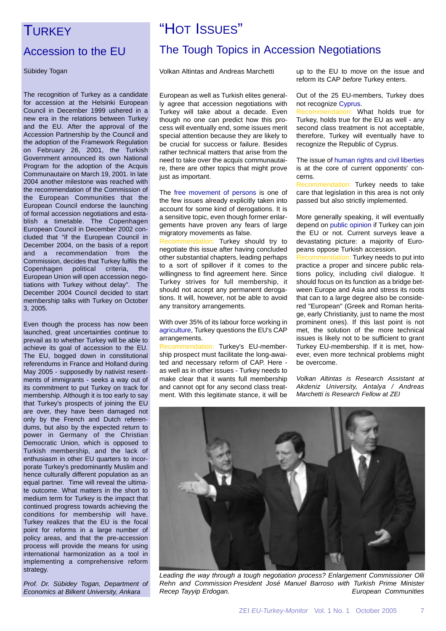### **TURKEY**

### Accession to the EU

Sübidey Togan

The recognition of Turkey as a candidate for accession at the Helsinki European Council in December 1999 ushered in a new era in the relations between Turkey and the EU. After the approval of the Accession Partnership by the Council and the adoption of the Framework Regulation on February 26, 2001, the Turkish Government announced its own National Program for the adoption of the Acquis Communautaire on March 19, 2001. In late 2004 another milestone was reached with the recommendation of the Commission of the European Communities that the European Council endorse the launching of formal accession negotiations and establish a timetable. The Copenhagen European Council in December 2002 concluded that "if the European Council in December 2004, on the basis of a report and a recommendation from the Commission, decides that Turkey fulfils the Copenhagen political criteria, the European Union will open accession negotiations with Turkey without delay". The December 2004 Council decided to start membership talks with Turkey on October 3, 2005.

Even though the process has now been launched, great uncertainties continue to prevail as to whether Turkey will be able to achieve its goal of accession to the EU. The EU, bogged down in constitutional referendums in France and Holland during May 2005 - supposedly by nativist resentments of immigrants - seeks a way out of its commitment to put Turkey on track for membership. Although it is too early to say that Turkey's prospects of joining the EU are over, they have been damaged not only by the French and Dutch referendums, but also by the expected return to power in Germany of the Christian Democratic Union, which is opposed to Turkish membership, and the lack of enthusiasm in other EU quarters to incorporate Turkey's predominantly Muslim and hence culturally different population as an equal partner. Time will reveal the ultimate outcome. What matters in the short to medium term for Turkey is the impact that continued progress towards achieving the conditions for membership will have. Turkey realizes that the EU is the focal point for reforms in a large number of policy areas, and that the pre-accession process will provide the means for using international harmonization as a tool in implementing a comprehensive reform strategy.

*Prof. Dr. Sübidey Togan, Department of Economics at Bilkent University, Ankara*

# "HOT ISSUES" The Tough Topics in Accession Negotiations

Volkan Altintas and Andreas Marchetti

European as well as Turkish elites generally agree that accession negotiations with Turkey will take about a decade. Even though no one can predict how this process will eventually end, some issues merit special attention because they are likely to be crucial for success or failure. Besides rather technical matters that arise from the need to take over the acquis communautaire, there are other topics that might prove just as important.

The free movement of persons is one of the few issues already explicitly taken into account for some kind of derogations. It is a sensitive topic, even though former enlargements have proven any fears of large migratory movements as false.

Recommendation: Turkey should try to negotiate this issue after having concluded other substantial chapters, leading perhaps to a sort of spillover if it comes to the willingness to find agreement here. Since Turkey strives for full membership, it should not accept any permanent derogations. It will, however, not be able to avoid any transitory arrangements.

With over 35% of its labour force working in agriculture, Turkey questions the EU's CAP arrangements.

Recommendation: Turkey's EU-membership prospect must facilitate the long-awaited and necessary reform of CAP. Here as well as in other issues - Turkey needs to make clear that it wants full membership and cannot opt for any second class treatment. With this legitimate stance, it will be up to the EU to move on the issue and reform its CAP *before* Turkey enters.

Out of the 25 EU-members, Turkey does not recognize Cyprus.

Recommendation: What holds true for Turkey, holds true for the EU as well - any second class treatment is not acceptable, therefore, Turkey will eventually have to recognize the Republic of Cyprus.

The issue of human rights and civil liberties is at the core of current opponents' concerns.

Recommendation: Turkey needs to take care that legislation in this area is not only passed but also strictly implemented.

More generally speaking, it will eventually depend on public opinion if Turkey can join the EU or not. Current surveys leave a devastating picture: a majority of Europeans oppose Turkish accession.

Recommendation: Turkey needs to put into practice a proper and sincere public relations policy, including civil dialogue. It should focus on its function as a bridge between Europe and Asia and stress its roots that can to a large degree also be considered "European" (Greek and Roman heritage, early Christianity, just to name the most prominent ones). If this last point is not met, the solution of the more technical issues is likely not to be sufficient to grant Turkey EU-membership. If it is met, however, even more technical problems might be overcome.

*Volkan Altintas is Research Assistant at Akdeniz University, Antalya / Andreas Marchetti is Research Fellow at ZEI*



*Leading the way through a tough negotiation process? Enlargement Commissioner Olli Rehn and Commission President José Manuel Barroso with Turkish Prime Minister Recep Tayyip Erdogan. European Communities*